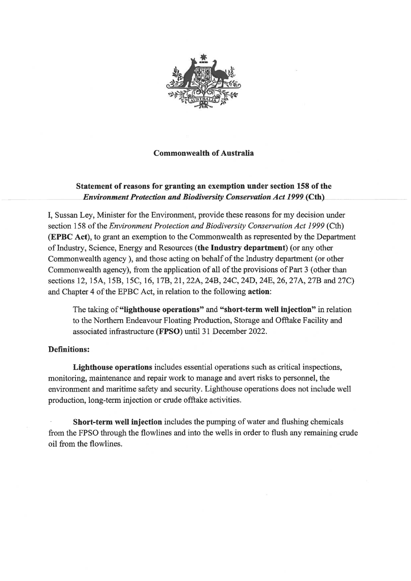

## **Commonwealth of Australia**

# Statement of reasons for granting an exemption under section 158 of the **Environment Protection and Biodiversity Conservation Act 1999 (Cth)**

I, Sussan Ley, Minister for the Environment, provide these reasons for my decision under section 158 of the Environment Protection and Biodiversity Conservation Act 1999 (Cth) (EPBC Act), to grant an exemption to the Commonwealth as represented by the Department of Industry, Science, Energy and Resources (the Industry department) (or any other Commonwealth agency), and those acting on behalf of the Industry department (or other Commonwealth agency), from the application of all of the provisions of Part 3 (other than sections 12, 15A, 15B, 15C, 16, 17B, 21, 22A, 24B, 24C, 24D, 24E, 26, 27A, 27B and 27C) and Chapter 4 of the EPBC Act, in relation to the following action:

The taking of "lighthouse operations" and "short-term well injection" in relation to the Northern Endeavour Floating Production, Storage and Offtake Facility and associated infrastructure (FPSO) until 31 December 2022.

## **Definitions:**

Lighthouse operations includes essential operations such as critical inspections, monitoring, maintenance and repair work to manage and avert risks to personnel, the environment and maritime safety and security. Lighthouse operations does not include well production, long-term injection or crude offtake activities.

Short-term well injection includes the pumping of water and flushing chemicals from the FPSO through the flowlines and into the wells in order to flush any remaining crude oil from the flowlines.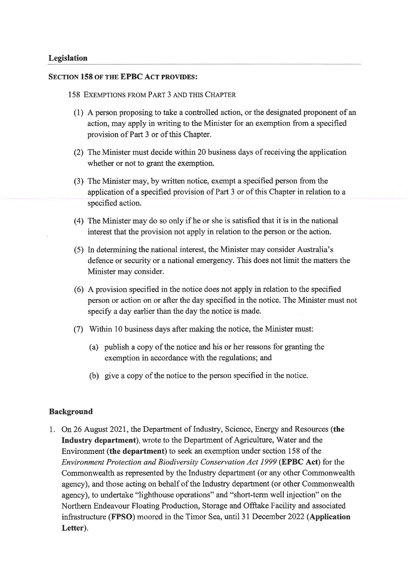#### **SECTION 158 OF THE EPBC ACT PROVIDES:**

- 158 EXEMPTIONS FROM PART 3 AND THIS CHAPTER
	- (1) A person proposing to take a controlled action, or the designated proponent of an action, may apply in writing to the Minister for an exemption from a specified provision of Part 3 or of this Chapter.
	- (2) The Minister must decide within 20 business days of receiving the application whether or not to grant the exemption.
	- (3) The Minister may, by written notice, exempt a specified person from the application of a specified provision of Part 3 or of this Chapter in relation to a specified action.
	- (4) The Minister may do so only if he or she is satisfied that it is in the national interest that the provision not apply in relation to the person or the action.
	- (5) In determining the national interest, the Minister may consider Australia's defence or security or a national emergency. This does not limit the matters the Minister may consider.
	- (6) A provision specified in the notice does not apply in relation to the specified person or action on or after the day specified in the notice. The Minister must not specify a day earlier than the day the notice is made.
	- (7) Within 10 business days after making the notice, the Minister must:
		- (a) publish a copy of the notice and his or her reasons for granting the exemption in accordance with the regulations; and
		- (b) give a copy of the notice to the person specified in the notice.

#### **Background**

1. On 26 August 2021, the Department of Industry, Science, Energy and Resources (the Industry department), wrote to the Department of Agriculture, Water and the Environment (the department) to seek an exemption under section 158 of the Environment Protection and Biodiversity Conservation Act 1999 (EPBC Act) for the Commonwealth as represented by the Industry department (or any other Commonwealth agency), and those acting on behalf of the Industry department (or other Commonwealth agency), to undertake "lighthouse operations" and "short-term well injection" on the Northern Endeavour Floating Production, Storage and Offtake Facility and associated infrastructure (FPSO) moored in the Timor Sea, until 31 December 2022 (Application Letter).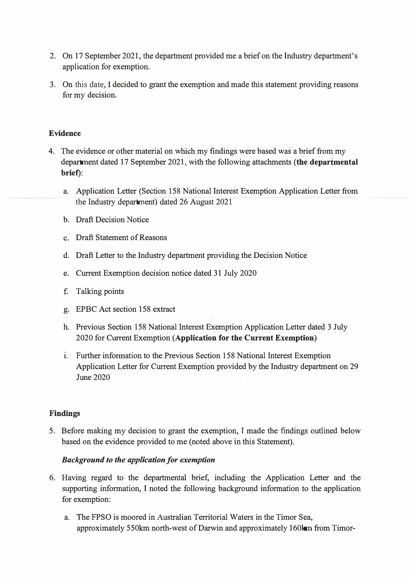- 2. On 17 September 2021, the department provided me a brief on the Industry department's application for exemption.
- 3. On this date*,* I decided to grant the exemption and made this statement providing reasons for my decision.

### **Evidence**

- 4. The evidence or other material on which my findings were based was a brief from my department dated 17 September 2021, with the following attachments **(the departmental brief):**
	- a. Application Letter (Section 158 National Interest Exemption Application Letter from the Industry department) dated 26 August 2021
	- b. Draft Decision Notice
	- c. Draft Statement of Reasons
	- d. Draft Letter to the Industry department providing the Decision Notice
	- e. Current Exemption decision notice dated 31 July 2020
	- £ Talking points
	- g. EPBC Act section 158 extract
	- h. Previous Section 158 National Interest Exemption Application Letter dated 3 July 2020 for Current Exemption **(Application for the Current Exemption)**
	- **1.** Further information to the Previous Section 158 National Interest Exemption Application Letter for Current Exemption provided by the Industry department on 29 June 2020

#### **Findings**

5. Before making my decision to grant the exemption, I made the findings outlined below based on the evidence provided to me (noted above in this Statement).

## *Background to the application for exemption*

- 6. Having regard to the departmental brief, including the Application Letter and the supporting information, I noted the following background information to the application for exemption:
	- a. The FPSO is moored in Australian Territorial Waters in the Timor Sea, approximately 550km north-west of Darwin and approximately 160km from Timor-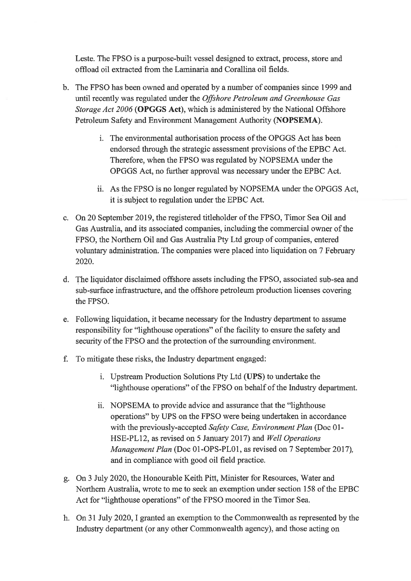Leste. The FPSO is a purpose-built vessel designed to extract, process, store and offload oil extracted from the Laminaria and Corallina oil fields.

- b. The FPSO has been owned and operated by a number of companies since 1999 and until recently was regulated under the Offshore Petroleum and Greenhouse Gas Storage Act 2006 (OPGGS Act), which is administered by the National Offshore Petroleum Safety and Environment Management Authority (NOPSEMA).
	- i. The environmental authorisation process of the OPGGS Act has been endorsed through the strategic assessment provisions of the EPBC Act. Therefore, when the FPSO was regulated by NOPSEMA under the OPGGS Act, no further approval was necessary under the EPBC Act.
	- ii. As the FPSO is no longer regulated by NOPSEMA under the OPGGS Act, it is subject to regulation under the EPBC Act.
- c. On 20 September 2019, the registered titleholder of the FPSO, Timor Sea Oil and Gas Australia, and its associated companies, including the commercial owner of the FPSO, the Northern Oil and Gas Australia Pty Ltd group of companies, entered voluntary administration. The companies were placed into liquidation on 7 February 2020.
- d. The liquidator disclaimed offshore assets including the FPSO, associated sub-sea and sub-surface infrastructure, and the offshore petroleum production licenses covering the FPSO.
- e. Following liquidation, it became necessary for the Industry department to assume responsibility for "lighthouse operations" of the facility to ensure the safety and security of the FPSO and the protection of the surrounding environment.
- f. To mitigate these risks, the Industry department engaged:
	- i. Upstream Production Solutions Pty Ltd (UPS) to undertake the "lighthouse operations" of the FPSO on behalf of the Industry department.
	- ii. NOPSEMA to provide advice and assurance that the "lighthouse" operations" by UPS on the FPSO were being undertaken in accordance with the previously-accepted Safety Case, Environment Plan (Doc 01-HSE-PL12, as revised on 5 January 2017) and *Well Operations* Management Plan (Doc 01-OPS-PL01, as revised on 7 September 2017), and in compliance with good oil field practice.
- g. On 3 July 2020, the Honourable Keith Pitt, Minister for Resources, Water and Northern Australia, wrote to me to seek an exemption under section 158 of the EPBC Act for "lighthouse operations" of the FPSO moored in the Timor Sea.
- h. On 31 July 2020, I granted an exemption to the Commonwealth as represented by the Industry department (or any other Commonwealth agency), and those acting on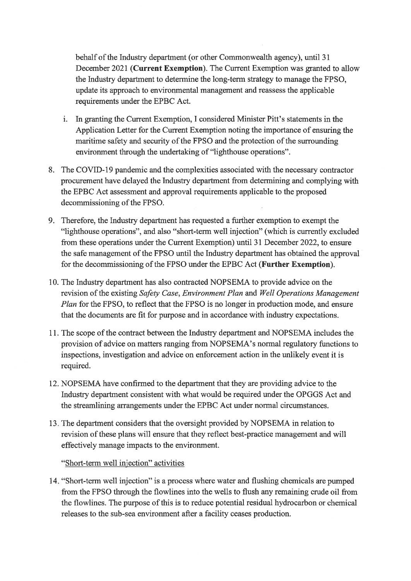behalf of the Industry department (or other Commonwealth agency), until 31 December 2021 (Current Exemption). The Current Exemption was granted to allow the Industry department to determine the long-term strategy to manage the FPSO. update its approach to environmental management and reassess the applicable requirements under the EPBC Act.

- i. In granting the Current Exemption, I considered Minister Pitt's statements in the Application Letter for the Current Exemption noting the importance of ensuring the maritime safety and security of the FPSO and the protection of the surrounding environment through the undertaking of "lighthouse operations".
- 8. The COVID-19 pandemic and the complexities associated with the necessary contractor procurement have delayed the Industry department from determining and complying with the EPBC Act assessment and approval requirements applicable to the proposed decommissioning of the FPSO.
- 9. Therefore, the Industry department has requested a further exemption to exempt the "lighthouse operations", and also "short-term well injection" (which is currently excluded from these operations under the Current Exemption) until 31 December 2022, to ensure the safe management of the FPSO until the Industry department has obtained the approval for the decommissioning of the FPSO under the EPBC Act (Further Exemption).
- 10. The Industry department has also contracted NOPSEMA to provide advice on the revision of the existing Safety Case, Environment Plan and Well Operations Management *Plan* for the FPSO, to reflect that the FPSO is no longer in production mode, and ensure that the documents are fit for purpose and in accordance with industry expectations.
- 11. The scope of the contract between the Industry department and NOPSEMA includes the provision of advice on matters ranging from NOPSEMA's normal regulatory functions to inspections, investigation and advice on enforcement action in the unlikely event it is required.
- 12. NOPSEMA have confirmed to the department that they are providing advice to the Industry department consistent with what would be required under the OPGGS Act and the streamlining arrangements under the EPBC Act under normal circumstances.
- 13. The department considers that the oversight provided by NOPSEMA in relation to revision of these plans will ensure that they reflect best-practice management and will effectively manage impacts to the environment.

"Short-term well injection" activities

14. "Short-term well injection" is a process where water and flushing chemicals are pumped from the FPSO through the flowlines into the wells to flush any remaining crude oil from the flowlines. The purpose of this is to reduce potential residual hydrocarbon or chemical releases to the sub-sea environment after a facility ceases production.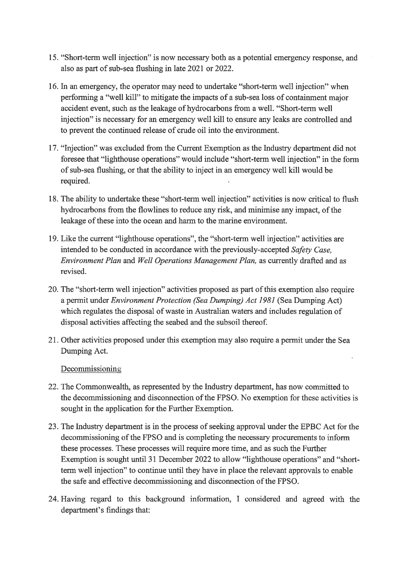- 15. "Short-term well injection" is now necessary both as a potential emergency response, and also as part of sub-sea flushing in late 2021 or 2022.
- 16. In an emergency, the operator may need to undertake "short-term well injection" when performing a "well kill" to mitigate the impacts of a sub-sea loss of containment major accident event, such as the leakage of hydrocarbons from a well. "Short-term well injection" is necessary for an emergency well kill to ensure any leaks are controlled and to prevent the continued release of crude oil into the environment.
- 17. "Injection" was excluded from the Current Exemption as the Industry department did not foresee that "lighthouse operations" would include "short-term well injection" in the form of sub-sea flushing, or that the ability to inject in an emergency well kill would be required.
- 18. The ability to undertake these "short-term well injection" activities is now critical to flush hydrocarbons from the flowlines to reduce any risk, and minimise any impact, of the leakage of these into the ocean and harm to the marine environment.
- 19. Like the current "lighthouse operations", the "short-term well injection" activities are intended to be conducted in accordance with the previously-accepted Safety Case, Environment Plan and Well Operations Management Plan, as currently drafted and as revised.
- 20. The "short-term well injection" activities proposed as part of this exemption also require a permit under *Environment Protection (Sea Dumping) Act 1981* (Sea Dumping Act) which regulates the disposal of waste in Australian waters and includes regulation of disposal activities affecting the seabed and the subsoil thereof.
- 21. Other activities proposed under this exemption may also require a permit under the Sea Dumping Act.

Decommissioning

- 22. The Commonwealth, as represented by the Industry department, has now committed to the decommissioning and disconnection of the FPSO. No exemption for these activities is sought in the application for the Further Exemption.
- 23. The Industry department is in the process of seeking approval under the EPBC Act for the decommissioning of the FPSO and is completing the necessary procurements to inform these processes. These processes will require more time, and as such the Further Exemption is sought until 31 December 2022 to allow "lighthouse operations" and "shortterm well injection" to continue until they have in place the relevant approvals to enable the safe and effective decommissioning and disconnection of the FPSO.
- 24. Having regard to this background information, I considered and agreed with the department's findings that: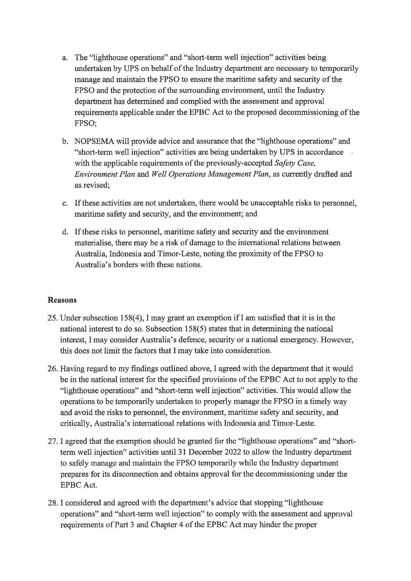- a. The "lighthouse operations" and "short-term well injection" activities being undertaken by UPS on behalf of the Industry department are necessary to temporarily manage and maintain the FPSO to ensure the maritime safety and security of the FPSO and the protection of the surrounding environment, until the Industry department has determined and complied with the assessment and approval requirements applicable under the EPBC Act to the proposed decommissioning of the FPSO:
- b. NOPSEMA will provide advice and assurance that the "lighthouse operations" and "short-term well injection" activities are being undertaken by UPS in accordance with the applicable requirements of the previously-accepted Safety Case, Environment Plan and Well Operations Management Plan, as currently drafted and as revised:
- c. If these activities are not undertaken, there would be unacceptable risks to personnel, maritime safety and security, and the environment; and
- d. If these risks to personnel, maritime safety and security and the environment materialise, there may be a risk of damage to the international relations between Australia, Indonesia and Timor-Leste, noting the proximity of the FPSO to Australia's borders with these nations.

# **Reasons**

- 25. Under subsection 158(4). I may grant an exemption if I am satisfied that it is in the national interest to do so. Subsection 158(5) states that in determining the national interest, I may consider Australia's defence, security or a national emergency. However, this does not limit the factors that I may take into consideration.
- 26. Having regard to my findings outlined above, I agreed with the department that it would be in the national interest for the specified provisions of the EPBC Act to not apply to the "lighthouse operations" and "short-term well injection" activities. This would allow the operations to be temporarily undertaken to properly manage the FPSO in a timely way and avoid the risks to personnel, the environment, maritime safety and security, and critically, Australia's international relations with Indonesia and Timor-Leste.
- 27. I agreed that the exemption should be granted for the "lighthouse operations" and "shortterm well injection" activities until 31 December 2022 to allow the Industry department to safely manage and maintain the FPSO temporarily while the Industry department prepares for its disconnection and obtains approval for the decommissioning under the **EPBC** Act.
- 28. I considered and agreed with the department's advice that stopping "lighthouse operations" and "short-term well injection" to comply with the assessment and approval requirements of Part 3 and Chapter 4 of the EPBC Act may hinder the proper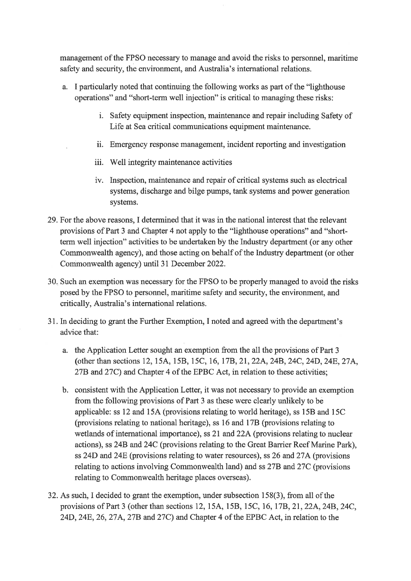management of the FPSO necessary to manage and avoid the risks to personnel, maritime safety and security, the environment, and Australia's international relations.

- a. I particularly noted that continuing the following works as part of the "lighthouse" operations" and "short-term well injection" is critical to managing these risks:
	- i. Safety equipment inspection, maintenance and repair including Safety of Life at Sea critical communications equipment maintenance.
	- ii. Emergency response management, incident reporting and investigation
	- iii. Well integrity maintenance activities
	- iv. Inspection, maintenance and repair of critical systems such as electrical systems, discharge and bilge pumps, tank systems and power generation systems.
- 29. For the above reasons, I determined that it was in the national interest that the relevant provisions of Part 3 and Chapter 4 not apply to the "lighthouse operations" and "shortterm well injection" activities to be undertaken by the Industry department (or any other Commonwealth agency), and those acting on behalf of the Industry department (or other Commonwealth agency) until 31 December 2022.
- 30. Such an exemption was necessary for the FPSO to be properly managed to avoid the risks posed by the FPSO to personnel, maritime safety and security, the environment, and critically, Australia's international relations.
- 31. In deciding to grant the Further Exemption, I noted and agreed with the department's advice that:
	- a. the Application Letter sought an exemption from the all the provisions of Part 3 (other than sections 12, 15A, 15B, 15C, 16, 17B, 21, 22A, 24B, 24C, 24D, 24E, 27A, 27B and 27C) and Chapter 4 of the EPBC Act, in relation to these activities;
	- b. consistent with the Application Letter, it was not necessary to provide an exemption from the following provisions of Part 3 as these were clearly unlikely to be applicable: ss 12 and 15A (provisions relating to world heritage), ss 15B and 15C (provisions relating to national heritage), ss 16 and 17B (provisions relating to wetlands of international importance), ss 21 and 22A (provisions relating to nuclear actions), ss 24B and 24C (provisions relating to the Great Barrier Reef Marine Park), ss 24D and 24E (provisions relating to water resources), ss 26 and 27A (provisions relating to actions involving Commonwealth land) and ss 27B and 27C (provisions relating to Commonwealth heritage places overseas).
- 32. As such, I decided to grant the exemption, under subsection 158(3), from all of the provisions of Part 3 (other than sections 12, 15A, 15B, 15C, 16, 17B, 21, 22A, 24B, 24C, 24D, 24E, 26, 27A, 27B and 27C) and Chapter 4 of the EPBC Act, in relation to the